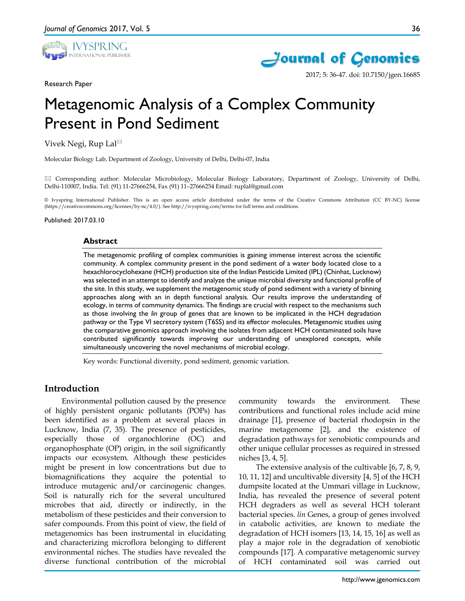

Research Paper



2017; 5: 36-47. doi: 10.7150/jgen.16685

# Metagenomic Analysis of a Complex Community Present in Pond Sediment

Vivek Negi, Rup Lal

Molecular Biology Lab, Department of Zoology, University of Delhi, Delhi-07, India

 Corresponding author: Molecular Microbiology, Molecular Biology Laboratory, Department of Zoology, University of Delhi, Delhi-110007, India. Tel: (91) 11-27666254, Fax (91) 11–27666254 Email: ruplal@gmail.com

© Ivyspring International Publisher. This is an open access article distributed under the terms of the Creative Commons Attribution (CC BY-NC) license (https://creativecommons.org/licenses/by-nc/4.0/). See http://ivyspring.com/terms for full terms and conditions.

Published: 2017.03.10

## **Abstract**

The metagenomic profiling of complex communities is gaining immense interest across the scientific community. A complex community present in the pond sediment of a water body located close to a hexachlorocyclohexane (HCH) production site of the Indian Pesticide Limited (IPL) (Chinhat, Lucknow) was selected in an attempt to identify and analyze the unique microbial diversity and functional profile of the site. In this study, we supplement the metagenomic study of pond sediment with a variety of binning approaches along with an in depth functional analysis. Our results improve the understanding of ecology, in terms of community dynamics. The findings are crucial with respect to the mechanisms such as those involving the *lin* group of genes that are known to be implicated in the HCH degradation pathway or the Type VI secretory system (T6SS) and its effector molecules. Metagenomic studies using the comparative genomics approach involving the isolates from adjacent HCH contaminated soils have contributed significantly towards improving our understanding of unexplored concepts, while simultaneously uncovering the novel mechanisms of microbial ecology.

Key words: Functional diversity, pond sediment, genomic variation.

# **Introduction**

Environmental pollution caused by the presence of highly persistent organic pollutants (POPs) has been identified as a problem at several places in Lucknow, India (7, 35). The presence of pesticides, especially those of organochlorine (OC) and organophosphate (OP) origin, in the soil significantly impacts our ecosystem. Although these pesticides might be present in low concentrations but due to biomagnifications they acquire the potential to introduce mutagenic and/or carcinogenic changes. Soil is naturally rich for the several uncultured microbes that aid, directly or indirectly, in the metabolism of these pesticides and their conversion to safer compounds. From this point of view, the field of metagenomics has been instrumental in elucidating and characterizing microflora belonging to different environmental niches. The studies have revealed the diverse functional contribution of the microbial

community towards the environment. These contributions and functional roles include acid mine drainage [1], presence of bacterial rhodopsin in the marine metagenome [2], and the existence of degradation pathways for xenobiotic compounds and other unique cellular processes as required in stressed niches [3, 4, 5].

The extensive analysis of the cultivable [6, 7, 8, 9, 10, 11, 12] and uncultivable diversity [4, 5] of the HCH dumpsite located at the Ummari village in Lucknow, India, has revealed the presence of several potent HCH degraders as well as several HCH tolerant bacterial species. *lin* Genes, a group of genes involved in catabolic activities, are known to mediate the degradation of HCH isomers [13, 14, 15, 16] as well as play a major role in the degradation of xenobiotic compounds [17]. A comparative metagenomic survey of HCH contaminated soil was carried out

36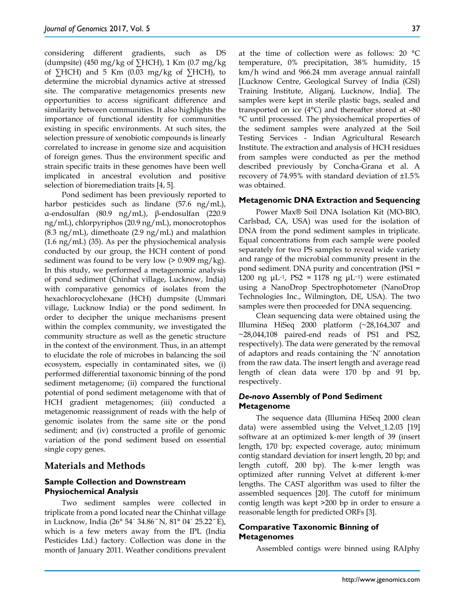considering different gradients, such as DS (dumpsite) (450 mg/kg of  $\overline{\Sigma}$ HCH), 1 Km (0.7 mg/kg) of  $\overline{\text{CHCH}}$  and 5 Km (0.03 mg/kg of  $\overline{\text{CHCH}}$ ), to determine the microbial dynamics active at stressed site. The comparative metagenomics presents new opportunities to access significant difference and similarity between communities. It also highlights the importance of functional identity for communities existing in specific environments. At such sites, the selection pressure of xenobiotic compounds is linearly correlated to increase in genome size and acquisition of foreign genes. Thus the environment specific and strain specific traits in these genomes have been well implicated in ancestral evolution and positive selection of bioremediation traits [4, 5].

Pond sediment has been previously reported to harbor pesticides such as lindane (57.6 ng/mL), α-endosulfan (80.9 ng/mL), β-endosulfan (220.9 ng/mL), chlorpyriphos (20.9 ng/mL), monocrotophos  $(8.3 \text{ ng/mL})$ , dimethoate  $(2.9 \text{ ng/mL})$  and malathion (1.6 ng/mL) (35). As per the physiochemical analysis conducted by our group, the HCH content of pond sediment was found to be very low  $($  > 0.909 mg/kg). In this study, we performed a metagenomic analysis of pond sediment (Chinhat village, Lucknow, India) with comparative genomics of isolates from the hexachlorocyclohexane (HCH) dumpsite (Ummari village, Lucknow India) or the pond sediment. In order to decipher the unique mechanisms present within the complex community, we investigated the community structure as well as the genetic structure in the context of the environment. Thus, in an attempt to elucidate the role of microbes in balancing the soil ecosystem, especially in contaminated sites, we (i) performed differential taxonomic binning of the pond sediment metagenome; (ii) compared the functional potential of pond sediment metagenome with that of HCH gradient metagenomes; (iii) conducted a metagenomic reassignment of reads with the help of genomic isolates from the same site or the pond sediment; and (iv) constructed a profile of genomic variation of the pond sediment based on essential single copy genes.

# **Materials and Methods**

# **Sample Collection and Downstream Physiochemical Analysi***s*

Two sediment samples were collected in triplicate from a pond located near the Chinhat village in Lucknow, India (26° 54ʹ 34.86 ̋N, 81° 04ʹ 25.22 ̋E), which is a few meters away from the IPL (India Pesticides Ltd.) factory. Collection was done in the month of January 2011. Weather conditions prevalent

at the time of collection were as follows: 20 °C temperature, 0% precipitation, 38% humidity, 15 km/h wind and 966.24 mm average annual rainfall [Lucknow Centre, Geological Survey of India (GSI) Training Institute, Aliganj, Lucknow, India]. The samples were kept in sterile plastic bags, sealed and transported on ice (4°C) and thereafter stored at –80 °C until processed. The physiochemical properties of the sediment samples were analyzed at the Soil Testing Services - Indian Agricultural Research Institute. The extraction and analysis of HCH residues from samples were conducted as per the method described previously by Concha-Grana et al. A recovery of 74.95% with standard deviation of ±1.5% was obtained.

## **Metagenomic DNA Extraction and Sequencing**

Power Max® Soil DNA Isolation Kit (MO-BIO, Carlsbad, CA, USA) was used for the isolation of DNA from the pond sediment samples in triplicate. Equal concentrations from each sample were pooled separately for two PS samples to reveal wide variety and range of the microbial community present in the pond sediment. DNA purity and concentration (PS1 = 1200 ng μL<sup>-1</sup>, PS2 = 1178 ng μL<sup>-1</sup>) were estimated using a NanoDrop Spectrophotometer (NanoDrop Technologies Inc., Wilmington, DE, USA). The two samples were then proceeded for DNA sequencing.

Clean sequencing data were obtained using the Illumina HiSeq 2000 platform (~28,164,307 and ~28,044,108 paired-end reads of PS1 and PS2, respectively). The data were generated by the removal of adaptors and reads containing the 'N' annotation from the raw data. The insert length and average read length of clean data were 170 bp and 91 bp, respectively.

# *De-novo* **Assembly of Pond Sediment Metagenome**

The sequence data (Illumina HiSeq 2000 clean data) were assembled using the Velvet\_1.2.03 [19] software at an optimized k-mer length of 39 (insert length, 170 bp; expected coverage, auto; minimum contig standard deviation for insert length, 20 bp; and length cutoff, 200 bp). The k-mer length was optimized after running Velvet at different k-mer lengths. The CAST algorithm was used to filter the assembled sequences [20]. The cutoff for minimum contig length was kept >200 bp in order to ensure a reasonable length for predicted ORFs [3].

# **Comparative Taxonomic Binning of Metagenomes**

Assembled contigs were binned using RAIphy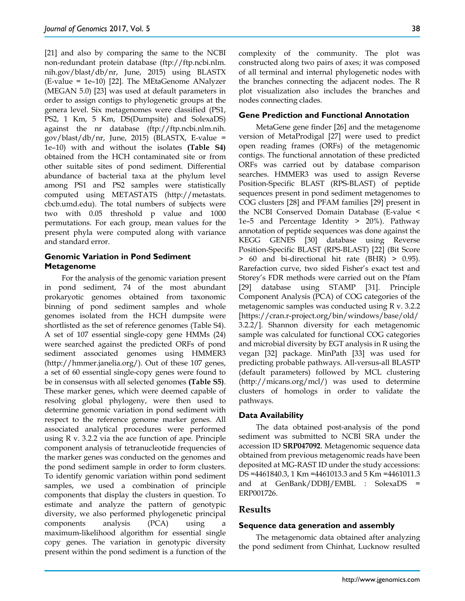[21] and also by comparing the same to the NCBI non-redundant protein database (ftp://ftp.ncbi.nlm. nih.gov/blast/db/nr, June, 2015) using BLASTX (E-value = 1e–10) [22]. The MEtaGenome ANalyzer (MEGAN 5.0) [23] was used at default parameters in order to assign contigs to phylogenetic groups at the genera level. Six metagenomes were classified (PS1, PS2, 1 Km, 5 Km, DS(Dumpsite) and SolexaDS) against the nr database (ftp://ftp.ncbi.nlm.nih. gov/blast/db/nr, June, 2015) (BLASTX, E-value = 1e–10) with and without the isolates **(Table S4)** obtained from the HCH contaminated site or from other suitable sites of pond sediment. Differential abundance of bacterial taxa at the phylum level among PS1 and PS2 samples were statistically computed using METASTATS (http://metastats. cbcb.umd.edu). The total numbers of subjects were two with 0.05 threshold p value and 1000 permutations. For each group, mean values for the present phyla were computed along with variance and standard error.

# **Genomic Variation in Pond Sediment Metagenome**

For the analysis of the genomic variation present in pond sediment, 74 of the most abundant prokaryotic genomes obtained from taxonomic binning of pond sediment samples and whole genomes isolated from the HCH dumpsite were shortlisted as the set of reference genomes (Table S4). A set of 107 essential single-copy gene HMMs (24) were searched against the predicted ORFs of pond sediment associated genomes using HMMER3 (http://hmmer.janelia.org/). Out of these 107 genes, a set of 60 essential single-copy genes were found to be in consensus with all selected genomes **(Table S5)**. These marker genes, which were deemed capable of resolving global phylogeny, were then used to determine genomic variation in pond sediment with respect to the reference genome marker genes. All associated analytical procedures were performed using R v. 3.2.2 via the ace function of ape. Principle component analysis of tetranucleotide frequencies of the marker genes was conducted on the genomes and the pond sediment sample in order to form clusters. To identify genomic variation within pond sediment samples, we used a combination of principle components that display the clusters in question. To estimate and analyze the pattern of genotypic diversity, we also performed phylogenetic principal components analysis (PCA) using a maximum-likelihood algorithm for essential single copy genes. The variation in genotypic diversity present within the pond sediment is a function of the

complexity of the community. The plot was constructed along two pairs of axes; it was composed of all terminal and internal phylogenetic nodes with the branches connecting the adjacent nodes. The R plot visualization also includes the branches and nodes connecting clades.

# **Gene Prediction and Functional Annotation**

MetaGene gene finder [26] and the metagenome version of MetaProdigal [27] were used to predict open reading frames (ORFs) of the metagenomic contigs. The functional annotation of these predicted ORFs was carried out by database comparison searches. HMMER3 was used to assign Reverse Position-Specific BLAST (RPS-BLAST) of peptide sequences present in pond sediment metagenomes to COG clusters [28] and PFAM families [29] present in the NCBI Conserved Domain Database (E-value < 1e–5 and Percentage Identity > 20%). Pathway annotation of peptide sequences was done against the KEGG GENES [30] database using Reverse Position-Specific BLAST (RPS-BLAST) [22] (Bit Score > 60 and bi-directional hit rate (BHR) > 0.95). Rarefaction curve, two sided Fisher's exact test and Storey's FDR methods were carried out on the Pfam [29] database using STAMP [31]. Principle Component Analysis (PCA) of COG categories of the metagenomic samples was conducted using R v. 3.2.2 [https://cran.r-project.org/bin/windows/base/old/ 3.2.2/]. Shannon diversity for each metagenomic sample was calculated for functional COG categories and microbial diversity by EGT analysis in R using the vegan [32] package. MinPath [33] was used for predicting probable pathways. All-versus-all BLASTP (default parameters) followed by MCL clustering (http://micans.org/mcl/) was used to determine clusters of homologs in order to validate the pathways.

# **Data Availability**

The data obtained post-analysis of the pond sediment was submitted to NCBI SRA under the accession ID **SRP047092**. Metagenomic sequence data obtained from previous metagenomic reads have been deposited at MG-RAST ID under the study accessions: DS =4461840.3, 1 Km =4461013.3 and 5 Km =4461011.3 and at GenBank/DDBJ/EMBL : SolexaDS = ERP001726.

# **Results**

# **Sequence data generation and assembly**

The metagenomic data obtained after analyzing the pond sediment from Chinhat, Lucknow resulted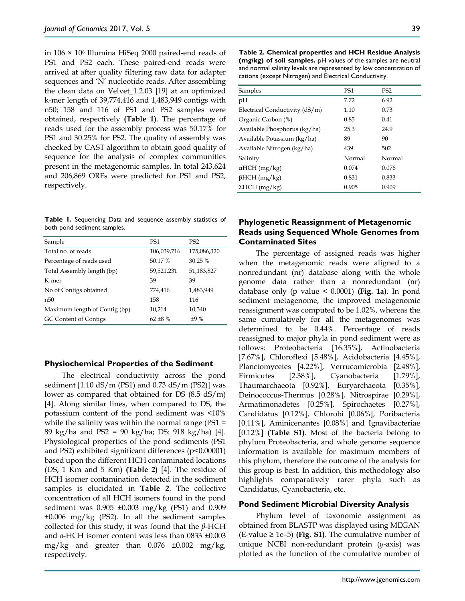in 106 × 106 Illumina HiSeq 2000 paired-end reads of PS1 and PS2 each. These paired-end reads were arrived at after quality filtering raw data for adapter sequences and 'N' nucleotide reads. After assembling the clean data on Velvet\_1.2.03 [19] at an optimized k-mer length of 39,774,416 and 1,483,949 contigs with n50; 158 and 116 of PS1 and PS2 samples were obtained, respectively **(Table 1)**. The percentage of reads used for the assembly process was 50.17% for PS1 and 30.25% for PS2. The quality of assembly was checked by CAST algorithm to obtain good quality of sequence for the analysis of complex communities present in the metagenomic samples. In total 243,624 and 206,869 ORFs were predicted for PS1 and PS2, respectively.

**Table 1.** Sequencing Data and sequence assembly statistics of both pond sediment samples.

| Sample                        | PS1           | PS <sub>2</sub> |
|-------------------------------|---------------|-----------------|
| Total no. of reads            | 106,039,716   | 175,086,320     |
| Percentage of reads used      | 50.17 %       | 30.25 %         |
| Total Assembly length (bp)    | 59,521,231    | 51,183,827      |
| K-mer                         | 39            | 39              |
| No of Contigs obtained        | 774,416       | 1,483,949       |
| n50                           | 158           | 116             |
| Maximum length of Contig (bp) | 10,214        | 10,340          |
| GC Content of Contigs         | $62 \pm 8 \%$ | ±9%             |

#### **Physiochemical Properties of the Sediment**

The electrical conductivity across the pond sediment [1.10 dS/m (PS1) and 0.73 dS/m (PS2)] was lower as compared that obtained for DS (8.5 dS/m) [4]. Along similar lines, when compared to DS, the potassium content of the pond sediment was <10% while the salinity was within the normal range (PS1 = 89 kg/ha and PS2 = 90 kg/ha; DS: 918 kg/ha) [4]. Physiological properties of the pond sediments (PS1 and PS2) exhibited significant differences (p<0.00001) based upon the different HCH contaminated locations (DS, 1 Km and 5 Km) **(Table 2)** [4]. The residue of HCH isomer contamination detected in the sediment samples is elucidated in **Table 2**. The collective concentration of all HCH isomers found in the pond sediment was 0.905 ±0.003 mg/kg (PS1) and 0.909 ±0.006 mg/kg (PS2). In all the sediment samples collected for this study, it was found that the *β*-HCH and *α*-HCH isomer content was less than 0833 ±0.003 mg/kg and greater than 0.076 ±0.002 mg/kg, respectively.

**Table 2. Chemical properties and HCH Residue Analysis (mg/kg) of soil samples.** pH values of the samples are neutral and normal salinity levels are represented by low concentration of cations (except Nitrogen) and Electrical Conductivity.

| Samples                        | PS <sub>1</sub> | PS <sub>2</sub> |
|--------------------------------|-----------------|-----------------|
| pH                             | 7.72            | 6.92            |
| Electrical Conductivity (dS/m) | 1.10            | 0.73            |
| Organic Carbon (%)             | 0.85            | 0.41            |
| Available Phosphorus (kg/ha)   | 25.3            | 24.9            |
| Available Potassium (kg/ha)    | 89              | 90              |
| Available Nitrogen (kg/ha)     | 439             | 502             |
| Salinity                       | Normal          | Normal          |
| $\alpha$ HCH $(mg/kg)$         | 0.074           | 0.076           |
| $\beta$ HCH (mg/kg)            | 0.831           | 0.833           |
| $\Sigma HCH$ (mg/kg)           | 0.905           | 0.909           |

# **Phylogenetic Reassignment of Metagenomic Reads using Sequenced Whole Genomes from Contaminated Sites**

The percentage of assigned reads was higher when the metagenomic reads were aligned to a nonredundant (nr) database along with the whole genome data rather than a nonredundant (nr) database only (p value < 0.0001) **(Fig. 1a)**. In pond sediment metagenome, the improved metagenomic reassignment was computed to be 1.02%, whereas the same cumulatively for all the metagenomes was determined to be 0.44%. Percentage of reads reassigned to major phyla in pond sediment were as follows: Proteobacteria [16.35%], Actinobacteria [7.67%], Chloroflexi [5.48%], Acidobacteria [4.45%], Planctomycetes [4.22%], Verrucomicrobia [2.48%], Firmicutes [2.38%], Cyanobacteria [1.79%], Thaumarchaeota [0.92%], Euryarchaeota [0.35%], Deinococcus-Thermus [0.28%], Nitrospirae [0.29%], Armatimonadetes [0.25%], Spirochaetes [0.27%], Candidatus [0.12%], Chlorobi [0.06%], Poribacteria [0.11%], Aminicenantes [0.08%] and Ignavibacteriae [0.12%] **(Table S1)**. Most of the bacteria belong to phylum Proteobacteria, and whole genome sequence information is available for maximum members of this phylum, therefore the outcome of the analysis for this group is best. In addition, this methodology also highlights comparatively rarer phyla such as Candidatus, Cyanobacteria, etc.

#### **Pond Sediment Microbial Diversity Analysis**

Phylum level of taxonomic assignment as obtained from BLASTP was displayed using MEGAN (E-value ≥ 1e–5) **(Fig. S1)**. The cumulative number of unique NCBI non-redundant protein (*y*-axis) was plotted as the function of the cumulative number of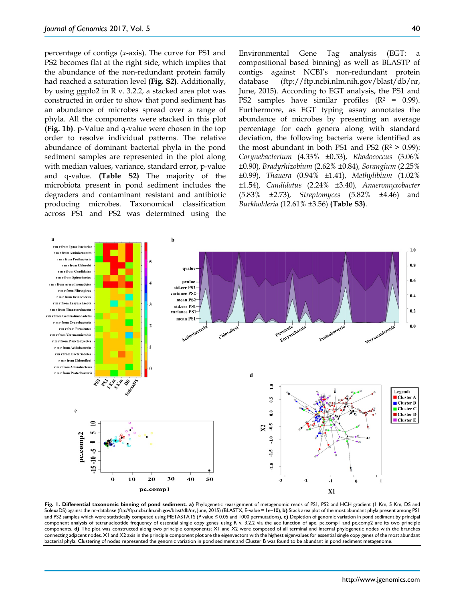percentage of contigs (*x*-axis). The curve for PS1 and PS2 becomes flat at the right side, which implies that the abundance of the non-redundant protein family had reached a saturation level **(Fig. S2)**. Additionally, by using ggplo2 in R v. 3.2.2, a stacked area plot was constructed in order to show that pond sediment has an abundance of microbes spread over a range of phyla. All the components were stacked in this plot **(Fig. 1b)**. p-Value and q-value were chosen in the top order to resolve individual patterns. The relative abundance of dominant bacterial phyla in the pond sediment samples are represented in the plot along with median values, variance, standard error, p-value and q-value. **(Table S2)** The majority of the microbiota present in pond sediment includes the degraders and contaminant resistant and antibiotic producing microbes. Taxonomical classification across PS1 and PS2 was determined using the

Environmental Gene Tag analysis (EGT: a compositional based binning) as well as BLASTP of contigs against NCBI's non-redundant protein database (ftp://ftp.ncbi.nlm.nih.gov/blast/db/nr, June, 2015). According to EGT analysis, the PS1 and PS2 samples have similar profiles  $(R^2 = 0.99)$ . Furthermore, as EGT typing assay annotates the abundance of microbes by presenting an average percentage for each genera along with standard deviation, the following bacteria were identified as the most abundant in both PS1 and PS2 ( $\mathbb{R}^2$  > 0.99): *Corynebacterium* (4.33% ±0.53)*, Rhodococcus* (3.06% ±0.90)*, Bradyrhizobium* (2.62% ±0.84)*, Sorangium* (2.25% ±0.99)*, Thauera* (0.94% ±1.41)*, Methylibium* (1.02% ±1.54)*, Candidatus* (2.24% ±3.40)*, Anaeromyxobacter*  (5.83% ±2.73)*, Streptomyces* (5.82% ±4.46) and *Burkholderia* (12.61% ±3.56) **(Table S3)**.



Fig. 1. Differential taxonomic binning of pond sediment. a) Phylogenetic reassignment of metagenomic reads of PS1, PS2 and HCH gradient (1 Km, 5 Km, DS and SolexaDS) against the nr-database (ftp://ftp.ncbi.nlm.nih.gov/blast/db/nr, June, 2015) (BLASTX, E-value = 1e–10), **b)** Stack area plot of the most abundant phyla present among PS1 and PS2 samples which were statistically computed using METASTATS (P value ≤ 0.05 and 1000 permutations), **c)** Depiction of genomic variation in pond sediment by principal component analysis of tetranucleotide frequency of essential single copy genes using R v. 3.2.2 via the ace function of ape. pc.comp1 and pc.comp2 are its two principle components. **d)** The plot was constructed along two principle components; X1 and X2 were composed of all terminal and internal phylogenetic nodes with the branches connecting adjacent nodes. X1 and X2 axis in the principle component plot are the eigenvectors with the highest eigenvalues for essential single copy genes of the most abundant bacterial phyla. Clustering of nodes represented the genomic variation in pond sediment and Cluster B was found to be abundant in pond sediment metagenome.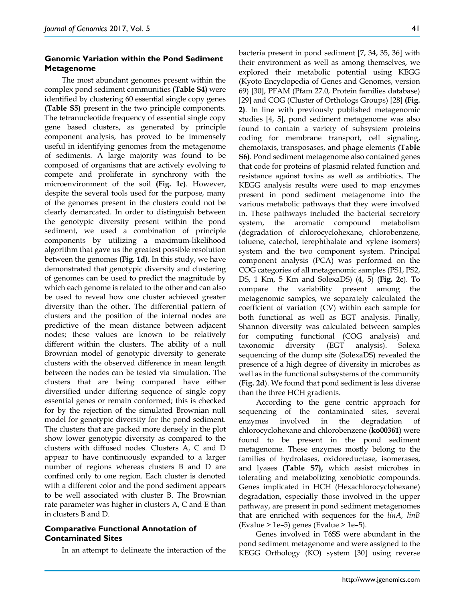# **Genomic Variation within the Pond Sediment Metagenome**

The most abundant genomes present within the complex pond sediment communities **(Table S4)** were identified by clustering 60 essential single copy genes **(Table S5)** present in the two principle components. The tetranucleotide frequency of essential single copy gene based clusters, as generated by principle component analysis, has proved to be immensely useful in identifying genomes from the metagenome of sediments. A large majority was found to be composed of organisms that are actively evolving to compete and proliferate in synchrony with the microenvironment of the soil **(Fig. 1c)**. However, despite the several tools used for the purpose, many of the genomes present in the clusters could not be clearly demarcated. In order to distinguish between the genotypic diversity present within the pond sediment, we used a combination of principle components by utilizing a maximum-likelihood algorithm that gave us the greatest possible resolution between the genomes **(Fig. 1d)**. In this study, we have demonstrated that genotypic diversity and clustering of genomes can be used to predict the magnitude by which each genome is related to the other and can also be used to reveal how one cluster achieved greater diversity than the other. The differential pattern of clusters and the position of the internal nodes are predictive of the mean distance between adjacent nodes; these values are known to be relatively different within the clusters. The ability of a null Brownian model of genotypic diversity to generate clusters with the observed difference in mean length between the nodes can be tested via simulation. The clusters that are being compared have either diversified under differing sequence of single copy essential genes or remain conformed; this is checked for by the rejection of the simulated Brownian null model for genotypic diversity for the pond sediment. The clusters that are packed more densely in the plot show lower genotypic diversity as compared to the clusters with diffused nodes. Clusters A, C and D appear to have continuously expanded to a larger number of regions whereas clusters B and D are confined only to one region. Each cluster is denoted with a different color and the pond sediment appears to be well associated with cluster B. The Brownian rate parameter was higher in clusters A, C and E than in clusters B and D.

# **Comparative Functional Annotation of Contaminated Sites**

In an attempt to delineate the interaction of the

bacteria present in pond sediment [7, 34, 35, 36] with their environment as well as among themselves, we explored their metabolic potential using KEGG (Kyoto Encyclopedia of Genes and Genomes, version 69) [30], PFAM (Pfam 27.0, Protein families database) [29] and COG (Cluster of Orthologs Groups) [28] **(Fig. 2)**. In line with previously published metagenomic studies [4, 5], pond sediment metagenome was also found to contain a variety of subsystem proteins coding for membrane transport, cell signaling, chemotaxis, transposases, and phage elements **(Table S6)**. Pond sediment metagenome also contained genes that code for proteins of plasmid related function and resistance against toxins as well as antibiotics. The KEGG analysis results were used to map enzymes present in pond sediment metagenome into the various metabolic pathways that they were involved in. These pathways included the bacterial secretory system, the aromatic compound metabolism (degradation of chlorocyclohexane, chlorobenzene, toluene, catechol, terephthalate and xylene isomers) system and the two component system. Principal component analysis (PCA) was performed on the COG categories of all metagenomic samples (PS1, PS2, DS, 1 Km, 5 Km and SolexaDS) (4, 5) (**Fig. 2c**). To compare the variability present among the metagenomic samples, we separately calculated the coefficient of variation (CV) within each sample for both functional as well as EGT analysis. Finally, Shannon diversity was calculated between samples for computing functional (COG analysis) and taxonomic diversity (EGT analysis). Solexa sequencing of the dump site (SolexaDS) revealed the presence of a high degree of diversity in microbes as well as in the functional subsystems of the community (**Fig. 2d**). We found that pond sediment is less diverse than the three HCH gradients.

According to the gene centric approach for sequencing of the contaminated sites, several enzymes involved in the degradation of chlorocyclohexane and chlorobenzene (**ko00361**) were found to be present in the pond sediment metagenome. These enzymes mostly belong to the families of hydrolases, oxidoreductase, isomerases, and lyases **(Table S7),** which assist microbes in tolerating and metabolizing xenobiotic compounds. Genes implicated in HCH (Hexachlorocyclohexane) degradation, especially those involved in the upper pathway, are present in pond sediment metagenomes that are enriched with sequences for the *linA, linB* (Evalue > 1e–5) genes (Evalue > 1e–5).

Genes involved in T6SS were abundant in the pond sediment metagenome and were assigned to the KEGG Orthology (KO) system [30] using reverse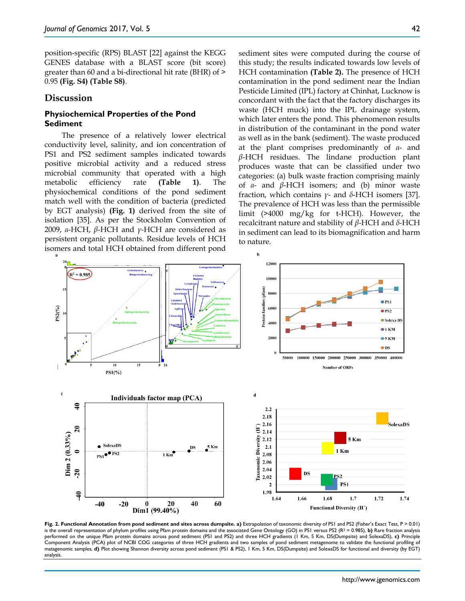position-specific (RPS) BLAST [22] against the KEGG GENES database with a BLAST score (bit score) greater than 60 and a bi-directional hit rate (BHR) of > 0.95 **(Fig. S4) (Table S8)**.

#### **Discussion**

## **Physiochemical Properties of the Pond Sediment**

The presence of a relatively lower electrical conductivity level, salinity, and ion concentration of PS1 and PS2 sediment samples indicated towards positive microbial activity and a reduced stress microbial community that operated with a high metabolic efficiency rate **(Table 1)**. The physiochemical conditions of the pond sediment match well with the condition of bacteria (predicted by EGT analysis) **(Fig. 1)** derived from the site of isolation [35]. As per the Stockholm Convention of 2009, *α*-HCH, *β*-HCH and *γ*-HCH are considered as persistent organic pollutants. Residue levels of HCH isomers and total HCH obtained from different pond

sediment sites were computed during the course of this study; the results indicated towards low levels of HCH contamination **(Table 2).** The presence of HCH contamination in the pond sediment near the Indian Pesticide Limited (IPL) factory at Chinhat, Lucknow is concordant with the fact that the factory discharges its waste (HCH muck) into the IPL drainage system, which later enters the pond. This phenomenon results in distribution of the contaminant in the pond water as well as in the bank (sediment). The waste produced at the plant comprises predominantly of *α*- and *β*-HCH residues. The lindane production plant produces waste that can be classified under two categories: (a) bulk waste fraction comprising mainly of *α*- and *β*-HCH isomers; and (b) minor waste fraction, which contains *γ*- and *δ*-HCH isomers [37]. The prevalence of HCH was less than the permissible limit (>4000 mg/kg for t-HCH). However, the recalcitrant nature and stability of *β*-HCH and *δ*-HCH

in sediment can lead to its biomagnification and harm



to nature.

Fig. 2. Functional Annotation from pond sediment and sites across dumpsite. a) Extrapolation of taxonomic diversity of PS1 and PS2 (Fisher's Exact Test, P > 0.01) is the overall representation of phylum profiles using Pfam protein domains and the associated Gene Ontology (GO) in PS1 versus PS2 (R2 = 0.985), **b)** Rare fraction analysis performed on the unique Pfam protein domains across pond sediment (PS1 and PS2) and three HCH gradients (1 Km, 5 Km, DS(Dumpsite) and SolexaDS), **c)** Principle Component Analysis (PCA) plot of NCBI COG categories of three HCH gradients and two samples of pond sediment metagenome to validate the functional profiling of matagenomic samples, **d)** Plot showing Shannon diversity across pond sediment (PS1 & PS2), 1 Km, 5 Km, DS(Dumpsite) and SolexaDS for functional and diversity (by EGT) analysis.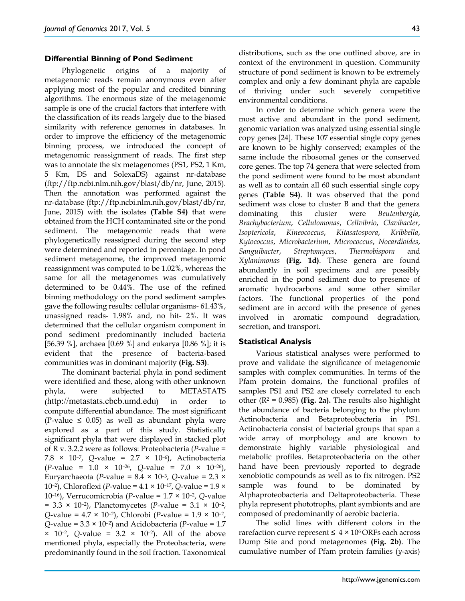#### **Differential Binning of Pond Sediment**

Phylogenetic origins of a majority of metagenomic reads remain anonymous even after applying most of the popular and credited binning algorithms. The enormous size of the metagenomic sample is one of the crucial factors that interfere with the classification of its reads largely due to the biased similarity with reference genomes in databases. In order to improve the efficiency of the metagenomic binning process, we introduced the concept of metagenomic reassignment of reads. The first step was to annotate the six metagenomes (PS1, PS2, 1 Km, 5 Km, DS and SolexaDS) against nr-database (ftp://ftp.ncbi.nlm.nih.gov/blast/db/nr, June, 2015). Then the annotation was performed against the nr-database (ftp://ftp.ncbi.nlm.nih.gov/blast/db/nr, June, 2015) with the isolates **(Table S4)** that were obtained from the HCH contaminated site or the pond sediment. The metagenomic reads that were phylogenetically reassigned during the second step were determined and reported in percentage. In pond sediment metagenome, the improved metagenomic reassignment was computed to be 1.02%, whereas the same for all the metagenomes was cumulatively determined to be 0.44%. The use of the refined binning methodology on the pond sediment samples gave the following results: cellular organisms- 61.43%, unassigned reads- 1.98% and, no hit- 2%. It was determined that the cellular organism component in pond sediment predominantly included bacteria [56.39 %], archaea [0.69 %] and eukarya [0.86 %]; it is evident that the presence of bacteria-based communities was in dominant majority **(Fig. S3)**.

The dominant bacterial phyla in pond sediment were identified and these, along with other unknown phyla, were subjected to METASTATS (http://metastats.cbcb.umd.edu) in order to compute differential abundance. The most significant (P-value  $\leq$  0.05) as well as abundant phyla were explored as a part of this study. Statistically significant phyla that were displayed in stacked plot of R v. 3.2.2 were as follows: Proteobacteria (*P*-value = 7.8 × 10–7, *Q*-value = 2.7 × 10–6), Actinobacteria  $(P\text{-value} = 1.0 \times 10^{-26}, Q\text{-value} = 7.0 \times 10^{-26}),$ Euryarchaeota (*P*-value =  $8.4 \times 10^{-3}$ , *Q*-value =  $2.3 \times$ 10–2), Chloroflexi (*P*-value = 4.1 × 10–17, *Q*-value = 1.9 × 10–16), Verrucomicrobia (*P*-value = 1.7 × 10–2, *Q*-value  $= 3.3 \times 10^{-2}$ , Planctomycetes (*P*-value  $= 3.1 \times 10^{-2}$ , *Q*-value = 4.7 × 10–2), Chlorobi (*P*-value = 1.9 × 10–2,  $Q$ -value = 3.3  $\times$  10<sup>-2</sup>) and Acidobacteria (*P*-value = 1.7  $\times$  10<sup>-2</sup>, *Q*-value = 3.2  $\times$  10<sup>-2</sup>). All of the above mentioned phyla, especially the Proteobacteria, were predominantly found in the soil fraction. Taxonomical

distributions, such as the one outlined above, are in context of the environment in question. Community structure of pond sediment is known to be extremely complex and only a few dominant phyla are capable of thriving under such severely competitive environmental conditions.

In order to determine which genera were the most active and abundant in the pond sediment, genomic variation was analyzed using essential single copy genes [24]. These 107 essential single copy genes are known to be highly conserved; examples of the same include the ribosomal genes or the conserved core genes. The top 74 genera that were selected from the pond sediment were found to be most abundant as well as to contain all 60 such essential single copy genes **(Table S4)**. It was observed that the pond sediment was close to cluster B and that the genera dominating this cluster were *Beutenbergia*, *Brachybacterium*, *Cellulomonas*, *Cellvibrio*, *Clavibacter*, *Isoptericola*, *Kineococcus*, *Kitasatospora*, *Kribbella*, *Kytococcus*, *Microbacterium*, *Micrococcus*, *Nocardioides*, *Sanguibacter*, *Streptomyces*, *Thermobispora* and *Xylanimonas* **(Fig. 1d)**. These genera are found abundantly in soil specimens and are possibly enriched in the pond sediment due to presence of aromatic hydrocarbons and some other similar factors. The functional properties of the pond sediment are in accord with the presence of genes involved in aromatic compound degradation, secretion, and transport.

#### **Statistical Analysis**

Various statistical analyses were performed to prove and validate the significance of metagenomic samples with complex communities. In terms of the Pfam protein domains, the functional profiles of samples PS1 and PS2 are closely correlated to each other  $(R^2 = 0.985)$  (Fig. 2a). The results also highlight the abundance of bacteria belonging to the phylum Actinobacteria and Betaproteobacteria in PS1. Actinobacteria consist of bacterial groups that span a wide array of morphology and are known to demonstrate highly variable physiological and metabolic profiles. Betaproteobacteria on the other hand have been previously reported to degrade xenobiotic compounds as well as to fix nitrogen. PS2 sample was found to be dominated by Alphaproteobacteria and Deltaproteobacteria. These phyla represent phototrophs, plant symbionts and are composed of predominantly of aerobic bacteria.

The solid lines with different colors in the rarefaction curve represent  $\leq 4 \times 10^6$  ORFs each across Dump Site and pond metagenomes **(Fig. 2b)**. The cumulative number of Pfam protein families (*y*-axis)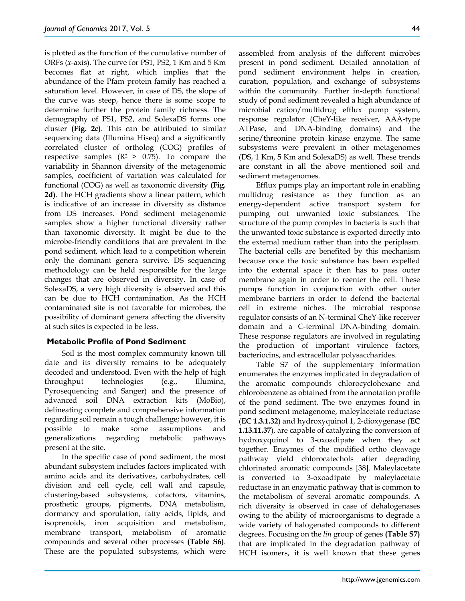is plotted as the function of the cumulative number of ORFs (*x*-axis). The curve for PS1, PS2, 1 Km and 5 Km becomes flat at right, which implies that the abundance of the Pfam protein family has reached a saturation level. However, in case of DS, the slope of the curve was steep, hence there is some scope to determine further the protein family richness. The demography of PS1, PS2, and SolexaDS forms one cluster **(Fig. 2c)**. This can be attributed to similar sequencing data (Illumina Hiseq) and a significantly correlated cluster of ortholog (COG) profiles of respective samples  $(R^2 > 0.75)$ . To compare the variability in Shannon diversity of the metagenomic samples, coefficient of variation was calculated for functional (COG) as well as taxonomic diversity **(Fig. 2d)**. The HCH gradients show a linear pattern, which is indicative of an increase in diversity as distance from DS increases. Pond sediment metagenomic samples show a higher functional diversity rather than taxonomic diversity. It might be due to the microbe-friendly conditions that are prevalent in the pond sediment, which lead to a competition wherein only the dominant genera survive. DS sequencing methodology can be held responsible for the large changes that are observed in diversity. In case of SolexaDS, a very high diversity is observed and this can be due to HCH contamination. As the HCH contaminated site is not favorable for microbes, the possibility of dominant genera affecting the diversity at such sites is expected to be less.

# **Metabolic Profile of Pond Sediment**

Soil is the most complex community known till date and its diversity remains to be adequately decoded and understood. Even with the help of high throughput technologies (e.g., Illumina, Pyrosequencing and Sanger) and the presence of advanced soil DNA extraction kits (MoBio), delineating complete and comprehensive information regarding soil remain a tough challenge; however, it is possible to make some assumptions and generalizations regarding metabolic pathways present at the site.

In the specific case of pond sediment, the most abundant subsystem includes factors implicated with amino acids and its derivatives, carbohydrates, cell division and cell cycle, cell wall and capsule, clustering-based subsystems, cofactors, vitamins, prosthetic groups, pigments, DNA metabolism, dormancy and sporulation, fatty acids, lipids, and isoprenoids, iron acquisition and metabolism, membrane transport, metabolism of aromatic compounds and several other processes **(Table S6)**. These are the populated subsystems, which were

assembled from analysis of the different microbes present in pond sediment. Detailed annotation of pond sediment environment helps in creation, curation, population, and exchange of subsystems within the community. Further in-depth functional study of pond sediment revealed a high abundance of microbial cation/multidrug efflux pump system, response regulator (CheY-like receiver, AAA-type ATPase, and DNA-binding domains) and the serine/threonine protein kinase enzyme. The same subsystems were prevalent in other metagenomes (DS, 1 Km, 5 Km and SolexaDS) as well. These trends are constant in all the above mentioned soil and sediment metagenomes.

Efflux pumps play an important role in enabling multidrug resistance as they function as an energy-dependent active transport system for pumping out unwanted toxic substances. The structure of the pump complex in bacteria is such that the unwanted toxic substance is exported directly into the external medium rather than into the periplasm. The bacterial cells are benefited by this mechanism because once the toxic substance has been expelled into the external space it then has to pass outer membrane again in order to reenter the cell. These pumps function in conjunction with other outer membrane barriers in order to defend the bacterial cell in extreme niches. The microbial response regulator consists of an N-terminal CheY-like receiver domain and a C-terminal DNA-binding domain. These response regulators are involved in regulating the production of important virulence factors, bacteriocins, and extracellular polysaccharides.

Table S7 of the supplementary information enumerates the enzymes implicated in degradation of the aromatic compounds chlorocyclohexane and chlorobenzene as obtained from the annotation profile of the pond sediment. The two enzymes found in pond sediment metagenome, maleylacetate reductase (**EC 1.3.1.32**) and hydroxyquinol 1, 2-dioxygenase (**EC 1.13.11.37**), are capable of catalyzing the conversion of hydroxyquinol to 3-oxoadipate when they act together. Enzymes of the modified ortho cleavage pathway yield chlorocatechols after degrading chlorinated aromatic compounds [38]. Maleylacetate is converted to 3-oxoadipate by maleylacetate reductase in an enzymatic pathway that is common to the metabolism of several aromatic compounds. A rich diversity is observed in case of dehalogenases owing to the ability of microorganisms to degrade a wide variety of halogenated compounds to different degrees. Focusing on the *lin* group of genes **(Table S7)** that are implicated in the degradation pathway of HCH isomers, it is well known that these genes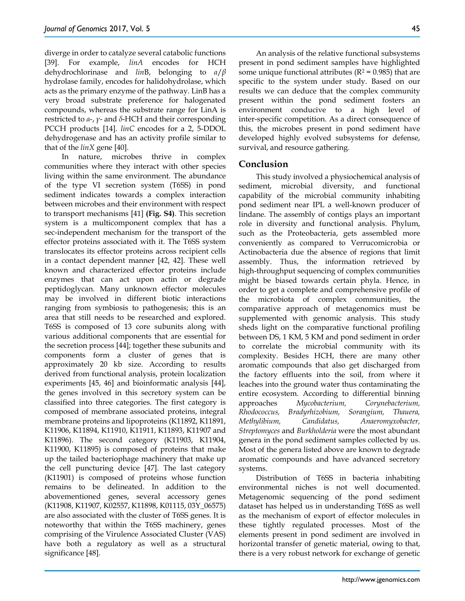diverge in order to catalyze several catabolic functions [39]. For example, *linA* encodes for HCH dehydrochlorinase and *lin*B, belonging to *α*/*β* hydrolase family, encodes for halidohydrolase, which acts as the primary enzyme of the pathway. LinB has a very broad substrate preference for halogenated compounds, whereas the substrate range for LinA is restricted to *α*-, *γ*- and *δ*-HCH and their corresponding PCCH products [14]. *linC* encodes for a 2, 5-DDOL dehydrogenase and has an activity profile similar to that of the *linX* gene [40].

In nature, microbes thrive in complex communities where they interact with other species living within the same environment. The abundance of the type VI secretion system (T6SS) in pond sediment indicates towards a complex interaction between microbes and their environment with respect to transport mechanisms [41] **(Fig. S4)**. This secretion system is a multicomponent complex that has a sec-independent mechanism for the transport of the effector proteins associated with it. The T6SS system translocates its effector proteins across recipient cells in a contact dependent manner [42, 42]. These well known and characterized effector proteins include enzymes that can act upon actin or degrade peptidoglycan. Many unknown effector molecules may be involved in different biotic interactions ranging from symbiosis to pathogenesis; this is an area that still needs to be researched and explored. T6SS is composed of 13 core subunits along with various additional components that are essential for the secretion process [44]; together these subunits and components form a cluster of genes that is approximately 20 kb size. According to results derived from functional analysis, protein localization experiments [45, 46] and bioinformatic analysis [44], the genes involved in this secretory system can be classified into three categories. The first category is composed of membrane associated proteins, integral membrane proteins and lipoproteins (K11892, K11891, K11906, K11894, K11910, K11911, K11893, K11907 and K11896). The second category (K11903, K11904, K11900, K11895) is composed of proteins that make up the tailed bacteriophage machinery that make up the cell puncturing device [47]. The last category (K11901) is composed of proteins whose function remains to be delineated. In addition to the abovementioned genes, several accessory genes (K11908, K11907, K02557, K11898, K01115, 03Y\_06575) are also associated with the cluster of T6SS genes. It is noteworthy that within the T6SS machinery, genes comprising of the Virulence Associated Cluster (VAS) have both a regulatory as well as a structural significance [48].

An analysis of the relative functional subsystems present in pond sediment samples have highlighted some unique functional attributes ( $R^2$  = 0.985) that are specific to the system under study. Based on our results we can deduce that the complex community present within the pond sediment fosters an environment conducive to a high level of inter-specific competition. As a direct consequence of this, the microbes present in pond sediment have developed highly evolved subsystems for defense, survival, and resource gathering.

# **Conclusion**

This study involved a physiochemical analysis of sediment, microbial diversity, and functional capability of the microbial community inhabiting pond sediment near IPL a well-known producer of lindane. The assembly of contigs plays an important role in diversity and functional analysis. Phylum, such as the Proteobacteria, gets assembled more conveniently as compared to Verrucomicrobia or Actinobacteria due the absence of regions that limit assembly. Thus, the information retrieved by high-throughput sequencing of complex communities might be biased towards certain phyla. Hence, in order to get a complete and comprehensive profile of the microbiota of complex communities, the comparative approach of metagenomics must be supplemented with genomic analysis. This study sheds light on the comparative functional profiling between DS, 1 KM, 5 KM and pond sediment in order to correlate the microbial community with its complexity. Besides HCH, there are many other aromatic compounds that also get discharged from the factory effluents into the soil, from where it leaches into the ground water thus contaminating the entire ecosystem. According to differential binning approaches *Mycobacterium, Corynebacterium, Rhodococcus, Bradyrhizobium, Sorangium, Thauera, Methylibium, Candidatus, Anaeromyxobacter, Streptomyces* and *Burkholderia* were the most abundant genera in the pond sediment samples collected by us. Most of the genera listed above are known to degrade aromatic compounds and have advanced secretory systems.

Distribution of T6SS in bacteria inhabiting environmental niches is not well documented. Metagenomic sequencing of the pond sediment dataset has helped us in understanding T6SS as well as the mechanism of export of effector molecules in these tightly regulated processes. Most of the elements present in pond sediment are involved in horizontal transfer of genetic material, owing to that, there is a very robust network for exchange of genetic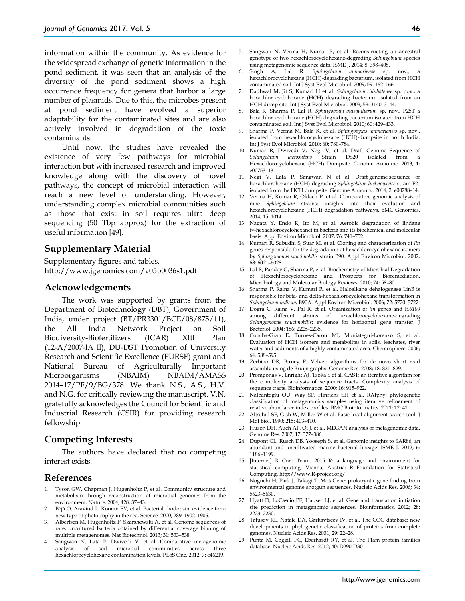information within the community. As evidence for the widespread exchange of genetic information in the pond sediment, it was seen that an analysis of the diversity of the pond sediment shows a high occurrence frequency for genera that harbor a large number of plasmids. Due to this, the microbes present at pond sediment have evolved a superior adaptability for the contaminated sites and are also actively involved in degradation of the toxic contaminants.

Until now, the studies have revealed the existence of very few pathways for microbial interaction but with increased research and improved knowledge along with the discovery of novel pathways, the concept of microbial interaction will reach a new level of understanding. However, understanding complex microbial communities such as those that exist in soil requires ultra deep sequencing (50 Tbp approx) for the extraction of useful information [49].

# **Supplementary Material**

Supplementary figures and tables. http://www.jgenomics.com/v05p0036s1.pdf

## **Acknowledgements**

The work was supported by grants from the Department of Biotechnology (DBT), Government of India, under project (BT/PR3301/BCE/08/875/11), the All India Network Project on Soil Biodiversity-Biofertilizers (ICAR) XIth Plan (12-A/2007-lA ll), DU-DST Promotion of University Research and Scientific Excellence (PURSE) grant and National Bureau of Agriculturally Important Microorganisms (NBAIM) NBAIM/AMASS 2014–17/PF/9/BG/378. We thank N.S., A.S., H.V. and N.G. for critically reviewing the manuscript. V.N. gratefully acknowledges the Council for Scientific and Industrial Research (CSIR) for providing research fellowship.

# **Competing Interests**

The authors have declared that no competing interest exists.

#### **References**

- 1. Tyson GW, Chapman J, Hugenholtz P, et al. Community structure and metabolism through reconstruction of microbial genomes from the environment. Nature. 2004; 428: 37–43.
- 2. Béjà O, Aravind L, Koonin EV, et al. Bacterial rhodopsin: evidence for a new type of phototrophy in the sea. Science*.* 2000; 289: 1902–1906.
- 3. Albertsen M, Hugenholtz P, Skarshewski A, et al. Genome sequences of rare, uncultured bacteria obtained by differential coverage binning of multiple metagenomes. Nat Biotechnol. 2013; 31: 533–538.
- 4. Sangwan N, Lata P, Dwivedi V, et al. Comparative metagenomic analysis of soil microbial communities across three hexachlorocyclohexane contamination levels. PLoS One. 2012; 7: e46219.
- 5. Sangwan N, Verma H, Kumar R, et al. Reconstructing an ancestral genotype of two hexachlorocyclohexane-degrading *Sphingobium* species using metagenomic sequence data. ISME J*.* 2014; 8: 398–408.
- 6. Singh A, Lal R. Sphingobium ummariense sp. nov., hexachlorocyclohexane (HCH)-degrading bacterium, isolated from HCH contaminated soil. Int J Syst Evol Microbiol. 2009; 59: 162–166.
- 7. Dadhwal M, Jit S, Kumari H et al. *Sphingobium chinhatense* sp. nov., a hexachlorocyclohexane (HCH) degrading bacterium isolated from an HCH dump site. Int J Syst Evol Microbiol. 2009; 59: 3140–3144.
- 8. Bala K, Sharma P, Lal R. *Sphingobium quisquiliarum* sp. nov., P25T a hexachlorocyclohexane (HCH) degrading bacterium isolated from HCH contaminated soil. Int J Syst Evol Microbiol. 2010; 60: 429–433.
- 9. Sharma P, Verma M, Bala K, et al. *Sphingopyxis ummariensis* sp. nov., isolated from hexachlorocyclohexane (HCH)-dumpsite in north India. Int J Syst Evol Microbiol. 2010; 60: 780–784.
- 10. Kumar R, Dwivedi V, Negi V, et al. Draft Genome Sequence of *Sphingobium lactosutens* Strain DS20 isolated from a Hexachlorocyclohexane (HCH) Dumpsite. Genome Announc*.* 2013; 1: e00753–13.
- 11. Negi V, Lata P, Sangwan N et al. Draft genome sequence of hexachlorohexane (HCH) degrading *Sphingobium lucknowense* strain F2T isolated from the HCH dumpsite. Genome Announc. 2014; 2: e00788–14.
- 12. Verma H, Kumar R, Oldach P, et al. Comparative genomic analysis of nine *Sphingobium* strains: insights into their evolution and hexachlorocyclohexane (HCH) degradation pathways. BMC Genomics. 2014; 15: 1014.
- 13. Nagata Y, Endo R, Ito M, et al. Aerobic degradation of lindane (γ-hexachlorocyclohexane) in bacteria and its biochemical and molecular basis. Appl Environ Microbiol. 2007; 76: 741–752.
- 14. Kumari R, Subudhi S, Suar M, et al. Cloning and characterization of *lin* genes responsible for the degradation of hexachlorocyclohexane isomers by *Sphingomonas paucimobilis* strain B90. Appl Environ Microbiol. 2002; 68: 6021–6028.
- 15. Lal R, Pandey G, Sharma P, et al. Biochemistry of Microbial Degradation of Hexachlorocyclohexane and Prospects for Bioremediation. Microbiology and Molecular Biology Reviews. 2010; 74: 58–80.
- 16. Sharma P, Raina V, Kumari R, et al. Haloalkane dehalogenase LinB is responsible for beta- and delta-hexachlorocyclohexane transformation in *Sphingobium indicum* B90A. Appl Environ Microbiol. 2006; 72: 5720–5727.
- 17. Dogra C, Raina V, Pal R, et al. Organization of *lin* genes and IS*6100* among different strains of hexachlorocyclohexane-degrading *Sphingomonas paucimobilis*: evidence for horizontal gene transfer. J Bacteriol. 2004; 186: 2225–2235.
- 18. Concha-Gran E, Turnes-Carou MI, Muniategui-Lorenzo S, et al. Evaluation of HCH isomers and metabolites in soils, leachates, river water and sediments of a highly contaminated area. Chemosphere. 2006; 64: 588–595.
- 19. Zerbino DR, Birney E. Velvet: algorithms for de novo short read assembly using de Bruijn graphs. Genome Res. 2008; 18: 821–829.
- 20. Promponas V, Enright AJ, Tsoka S et al. CAST: an iterative algorithm for the complexity analysis of sequence tracts. Complexity analysis of sequence tracts. Bioinformatics. 2000; 16: 915–922.
- 21. Nalbantoglu OU, Way SF, Hinrichs SH et al. RAIphy: phylogenetic classification of metagenomics samples using iterative refinement of relative abundance index profiles. BMC Bioinformatics. 2011; 12: 41.
- 22. Altschul SF, Gish W, Miller W et al. Basic local alignment search tool. J Mol Biol. 1990; 215: 403–410.
- 23. Huson DH, Auch AF, Qi J, et al. MEGAN analysis of metagenomic data. Genome Res. 2007; 17: 377–386.
- 24. Dupont CL, Rusch DB, Yooseph S, et al. Genomic insights to SAR86, an abundant and uncultivated marine bacterial lineage. ISME J. 2012; 6: 1186–1199.
- 25. [Internet] R Core Team. 2015 R: a language and environment for statistical computing. Vienna, Austria: R Foundation for Statistical Computing. http://www.R-project.org/.
- 26. Noguchi H, Park J, Takagi T. MetaGene: prokaryotic gene finding from environmental genome shotgun sequences. Nucleic Acids Res. 2006; 34: 5623–5630.
- 27. Hyatt D, LoCascio PF, Hauser LJ, et al. Gene and translation initiation site prediction in metagenomic sequences. Bioinformatics. 2012; 28: 2223–2230.
- 28. Tatusov RL, Natale DA, Garkavtscev IV, et al. The COG database: new developments in phylogenetic classification of proteins from complete genomes. Nucleic Acids Res. 2001; 29: 22–28.
- 29. Punta M, Coggill PC, Eberhardt RY, et al. The Pfam protein families database. Nucleic Acids Res. 2012; 40: D290-D301.